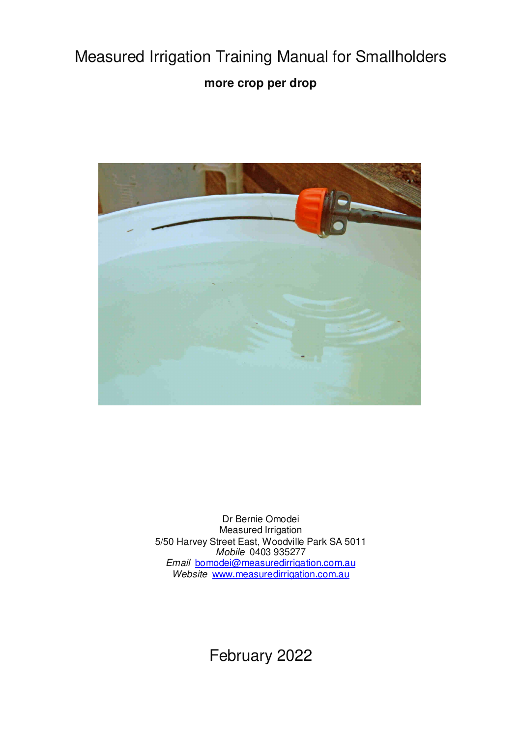# Measured Irrigation Training Manual for Smallholders **more crop per drop**



Dr Bernie Omodei Measured Irrigation 5/50 Harvey Street East, Woodville Park SA 5011 *Mobile* 0403 935277 *Email* bomodei@measuredirrigation.com.au *Website* www.measuredirrigation.com.au

February 2022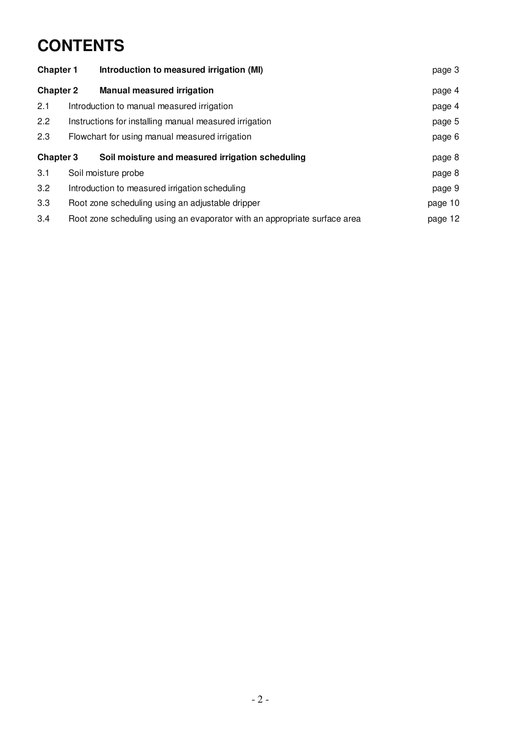# **CONTENTS**

| <b>Chapter 1</b> |  | Introduction to measured irrigation (MI)                                  | page 3  |
|------------------|--|---------------------------------------------------------------------------|---------|
| <b>Chapter 2</b> |  | <b>Manual measured irrigation</b>                                         | page 4  |
| 2.1              |  | Introduction to manual measured irrigation                                | page 4  |
| 2.2              |  | Instructions for installing manual measured irrigation                    | page 5  |
| 2.3              |  | Flowchart for using manual measured irrigation                            | page 6  |
| <b>Chapter 3</b> |  | Soil moisture and measured irrigation scheduling                          | page 8  |
| 3.1              |  | Soil moisture probe                                                       | page 8  |
| 3.2              |  | Introduction to measured irrigation scheduling                            | page 9  |
| 3.3              |  | Root zone scheduling using an adjustable dripper                          | page 10 |
| 3.4              |  | Root zone scheduling using an evaporator with an appropriate surface area | page 12 |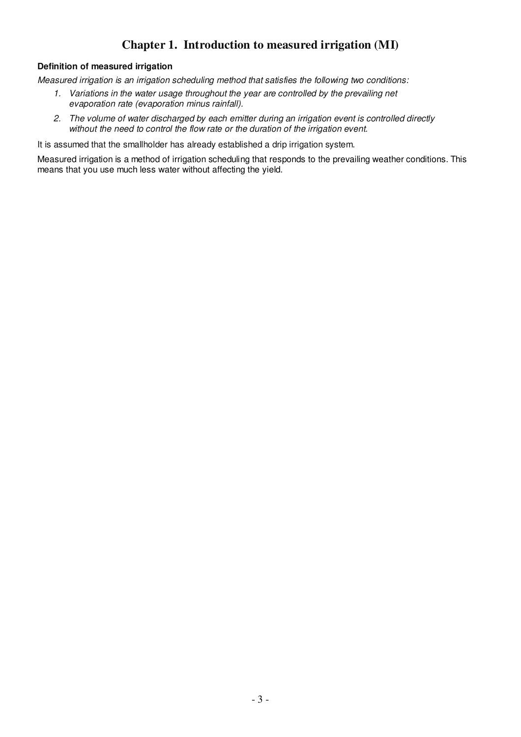# **Chapter 1. Introduction to measured irrigation (MI)**

## **Definition of measured irrigation**

*Measured irrigation is an irrigation scheduling method that satisfies the following two conditions:* 

- *1. Variations in the water usage throughout the year are controlled by the prevailing net evaporation rate (evaporation minus rainfall).*
- *2. The volume of water discharged by each emitter during an irrigation event is controlled directly without the need to control the flow rate or the duration of the irrigation event.*

It is assumed that the smallholder has already established a drip irrigation system.

Measured irrigation is a method of irrigation scheduling that responds to the prevailing weather conditions. This means that you use much less water without affecting the yield.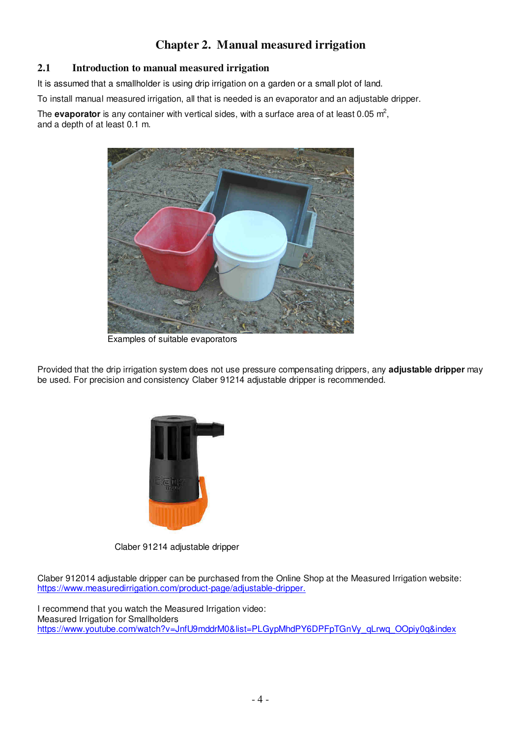# **Chapter 2. Manual measured irrigation**

# **2.1 Introduction to manual measured irrigation**

It is assumed that a smallholder is using drip irrigation on a garden or a small plot of land.

To install manual measured irrigation, all that is needed is an evaporator and an adjustable dripper.

The **evaporator** is any container with vertical sides, with a surface area of at least  $0.05 \text{ m}^2$ , and a depth of at least 0.1 m.



Examples of suitable evaporators

Provided that the drip irrigation system does not use pressure compensating drippers, any **adjustable dripper** may be used. For precision and consistency Claber 91214 adjustable dripper is recommended.



Claber 91214 adjustable dripper

Claber 912014 adjustable dripper can be purchased from the Online Shop at the Measured Irrigation website: https://www.measuredirrigation.com/product-page/adjustable-dripper.

I recommend that you watch the Measured Irrigation video: Measured Irrigation for Smallholders https://www.youtube.com/watch?v=JnfU9mddrM0&list=PLGypMhdPY6DPFpTGnVy\_qLrwq\_OOpiy0q&index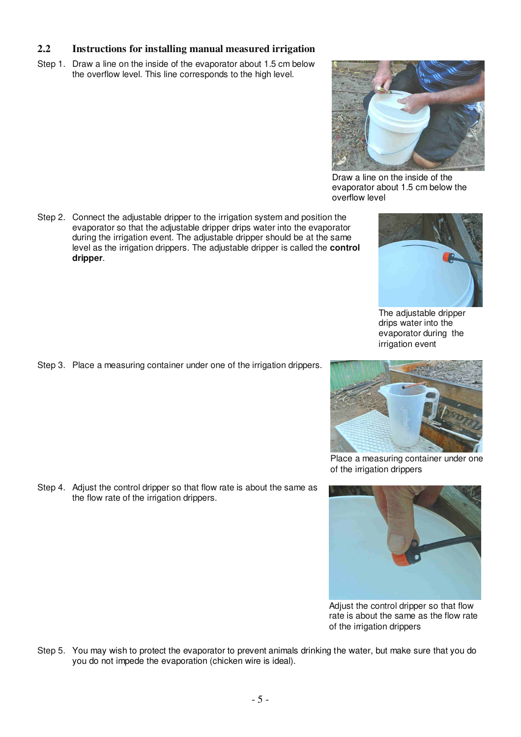## **2.2 Instructions for installing manual measured irrigation**

Step 1. Draw a line on the inside of the evaporator about 1.5 cm below the overflow level. This line corresponds to the high level.

Step 2. Connect the adjustable dripper to the irrigation system and position the evaporator so that the adjustable dripper drips water into the evaporator during the irrigation event. The adjustable dripper should be at the same level as the irrigation drippers. The adjustable dripper is called the **control dripper**.

Step 3. Place a measuring container under one of the irrigation drippers.

Step 4. Adjust the control dripper so that flow rate is about the same as the flow rate of the irrigation drippers.

Step 5. You may wish to protect the evaporator to prevent animals drinking the water, but make sure that you do you do not impede the evaporation (chicken wire is ideal).







irrigation event

Place a measuring container under one of the irrigation drippers



Adjust the control dripper so that flow rate is about the same as the flow rate of the irrigation drippers





evaporator during the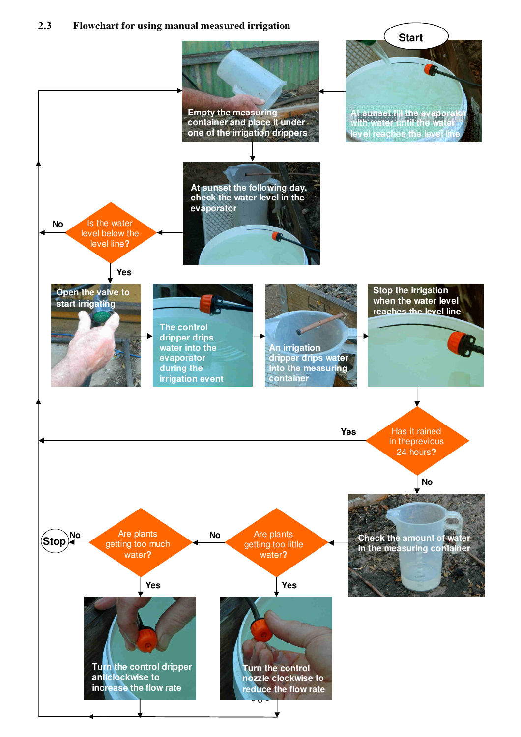## **2.3 Flowchart for using manual measured irrigation**

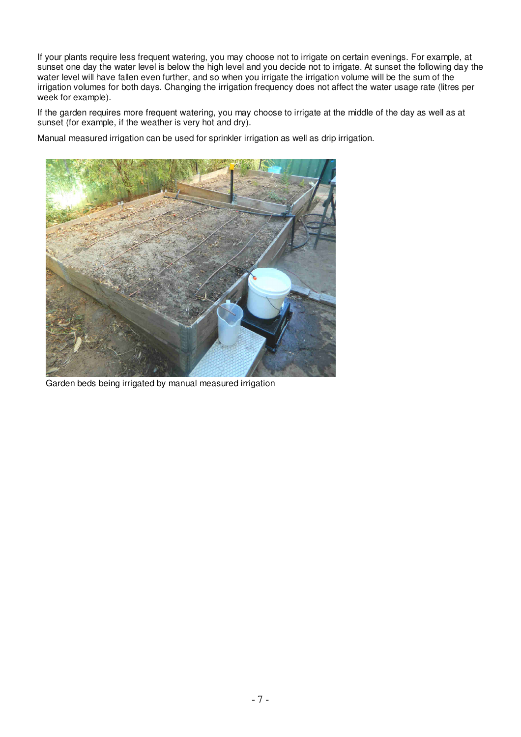If your plants require less frequent watering, you may choose not to irrigate on certain evenings. For example, at sunset one day the water level is below the high level and you decide not to irrigate. At sunset the following day the water level will have fallen even further, and so when you irrigate the irrigation volume will be the sum of the irrigation volumes for both days. Changing the irrigation frequency does not affect the water usage rate (litres per week for example).

If the garden requires more frequent watering, you may choose to irrigate at the middle of the day as well as at sunset (for example, if the weather is very hot and dry).

Manual measured irrigation can be used for sprinkler irrigation as well as drip irrigation.



Garden beds being irrigated by manual measured irrigation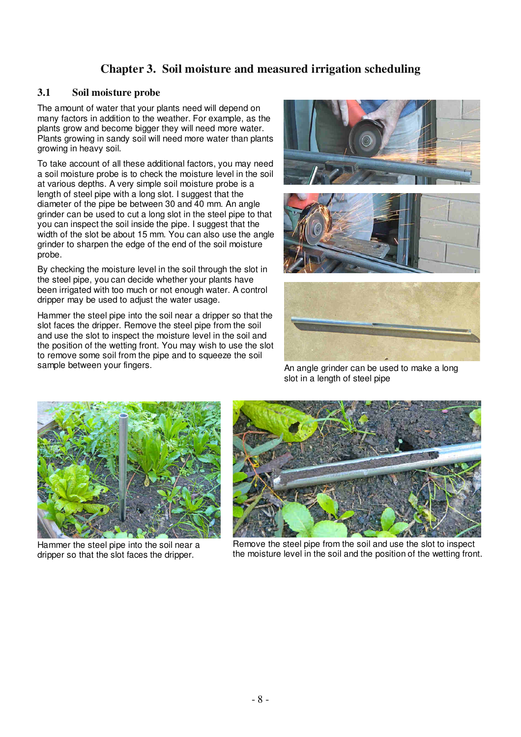# **Chapter 3. Soil moisture and measured irrigation scheduling**

# **3.1 Soil moisture probe**

The amount of water that your plants need will depend on many factors in addition to the weather. For example, as the plants grow and become bigger they will need more water. Plants growing in sandy soil will need more water than plants growing in heavy soil.

To take account of all these additional factors, you may need a soil moisture probe is to check the moisture level in the soil at various depths. A very simple soil moisture probe is a length of steel pipe with a long slot. I suggest that the diameter of the pipe be between 30 and 40 mm. An angle grinder can be used to cut a long slot in the steel pipe to that you can inspect the soil inside the pipe. I suggest that the width of the slot be about 15 mm. You can also use the angle grinder to sharpen the edge of the end of the soil moisture probe.

By checking the moisture level in the soil through the slot in the steel pipe, you can decide whether your plants have been irrigated with too much or not enough water. A control dripper may be used to adjust the water usage.

Hammer the steel pipe into the soil near a dripper so that the slot faces the dripper. Remove the steel pipe from the soil and use the slot to inspect the moisture level in the soil and the position of the wetting front. You may wish to use the slot to remove some soil from the pipe and to squeeze the soil sample between your fingers.







An angle grinder can be used to make a long slot in a length of steel pipe



Hammer the steel pipe into the soil near a dripper so that the slot faces the dripper.



Remove the steel pipe from the soil and use the slot to inspect the moisture level in the soil and the position of the wetting front.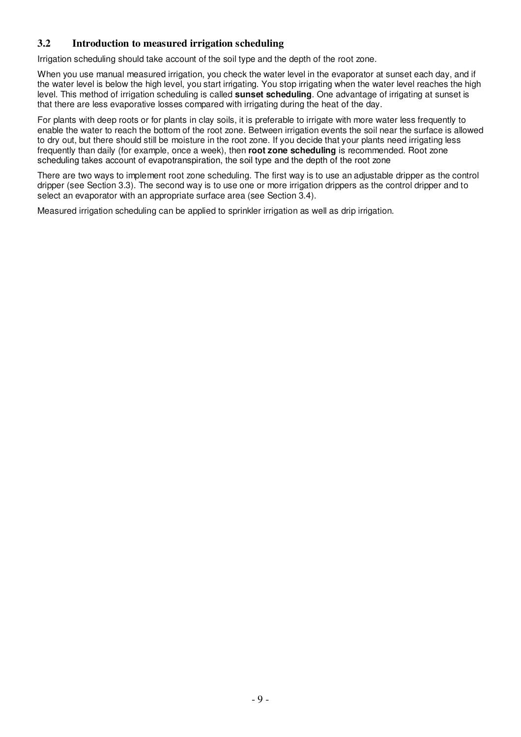# **3.2 Introduction to measured irrigation scheduling**

Irrigation scheduling should take account of the soil type and the depth of the root zone.

When you use manual measured irrigation, you check the water level in the evaporator at sunset each day, and if the water level is below the high level, you start irrigating. You stop irrigating when the water level reaches the high level. This method of irrigation scheduling is called **sunset scheduling**. One advantage of irrigating at sunset is that there are less evaporative losses compared with irrigating during the heat of the day.

For plants with deep roots or for plants in clay soils, it is preferable to irrigate with more water less frequently to enable the water to reach the bottom of the root zone. Between irrigation events the soil near the surface is allowed to dry out, but there should still be moisture in the root zone. If you decide that your plants need irrigating less frequently than daily (for example, once a week), then **root zone scheduling** is recommended. Root zone scheduling takes account of evapotranspiration, the soil type and the depth of the root zone

There are two ways to implement root zone scheduling. The first way is to use an adjustable dripper as the control dripper (see Section 3.3). The second way is to use one or more irrigation drippers as the control dripper and to select an evaporator with an appropriate surface area (see Section 3.4).

Measured irrigation scheduling can be applied to sprinkler irrigation as well as drip irrigation.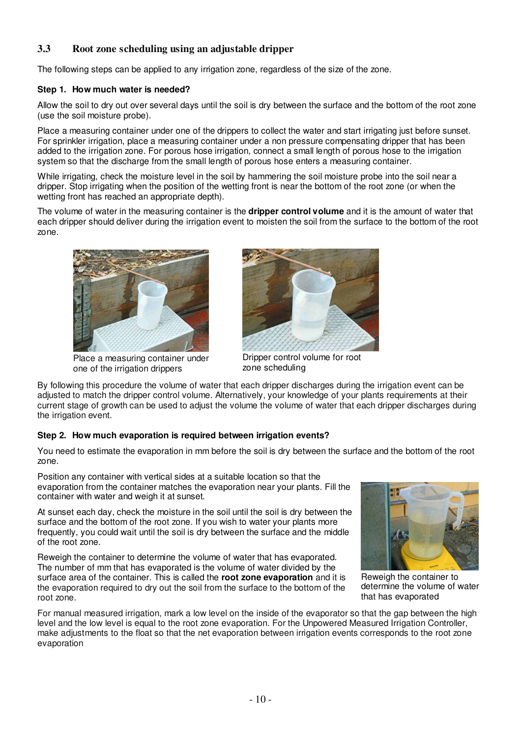# **3.3 Root zone scheduling using an adjustable dripper**

The following steps can be applied to any irrigation zone, regardless of the size of the zone.

### **Step 1. How much water is needed?**

Allow the soil to dry out over several days until the soil is dry between the surface and the bottom of the root zone (use the soil moisture probe).

Place a measuring container under one of the drippers to collect the water and start irrigating just before sunset. For sprinkler irrigation, place a measuring container under a non pressure compensating dripper that has been added to the irrigation zone. For porous hose irrigation, connect a small length of porous hose to the irrigation system so that the discharge from the small length of porous hose enters a measuring container.

While irrigating, check the moisture level in the soil by hammering the soil moisture probe into the soil near a dripper. Stop irrigating when the position of the wetting front is near the bottom of the root zone (or when the wetting front has reached an appropriate depth).

The volume of water in the measuring container is the **dripper control volume** and it is the amount of water that each dripper should deliver during the irrigation event to moisten the soil from the surface to the bottom of the root zone.



Place a measuring container under one of the irrigation drippers



Dripper control volume for root zone scheduling

By following this procedure the volume of water that each dripper discharges during the irrigation event can be adjusted to match the dripper control volume. Alternatively, your knowledge of your plants requirements at their current stage of growth can be used to adjust the volume the volume of water that each dripper discharges during the irrigation event.

## **Step 2. How much evaporation is required between irrigation events?**

You need to estimate the evaporation in mm before the soil is dry between the surface and the bottom of the root zone.

Position any container with vertical sides at a suitable location so that the evaporation from the container matches the evaporation near your plants. Fill the container with water and weigh it at sunset.

At sunset each day, check the moisture in the soil until the soil is dry between the surface and the bottom of the root zone. If you wish to water your plants more frequently, you could wait until the soil is dry between the surface and the middle of the root zone.

Reweigh the container to determine the volume of water that has evaporated. The number of mm that has evaporated is the volume of water divided by the surface area of the container. This is called the **root zone evaporation** and it is the evaporation required to dry out the soil from the surface to the bottom of the root zone.



Reweigh the container to determine the volume of water that has evaporated

For manual measured irrigation, mark a low level on the inside of the evaporator so that the gap between the high level and the low level is equal to the root zone evaporation. For the Unpowered Measured Irrigation Controller, make adjustments to the float so that the net evaporation between irrigation events corresponds to the root zone evaporation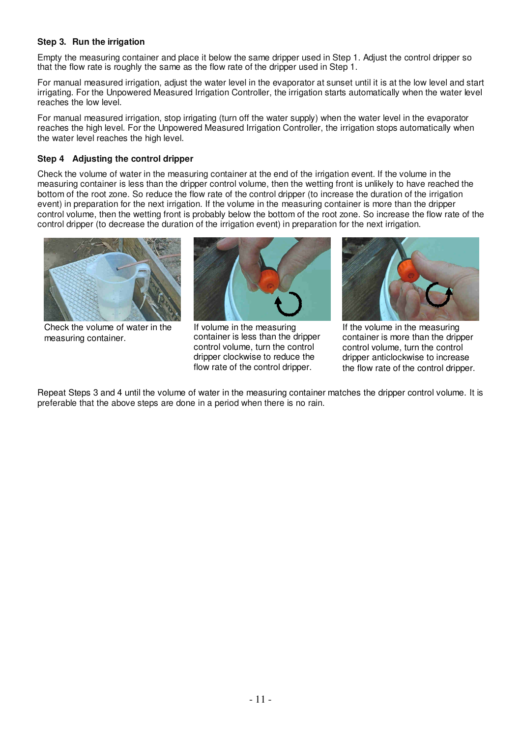### **Step 3. Run the irrigation**

Empty the measuring container and place it below the same dripper used in Step 1. Adjust the control dripper so that the flow rate is roughly the same as the flow rate of the dripper used in Step 1.

For manual measured irrigation, adjust the water level in the evaporator at sunset until it is at the low level and start irrigating. For the Unpowered Measured Irrigation Controller, the irrigation starts automatically when the water level reaches the low level.

For manual measured irrigation, stop irrigating (turn off the water supply) when the water level in the evaporator reaches the high level. For the Unpowered Measured Irrigation Controller, the irrigation stops automatically when the water level reaches the high level.

#### **Step 4 Adjusting the control dripper**

Check the volume of water in the measuring container at the end of the irrigation event. If the volume in the measuring container is less than the dripper control volume, then the wetting front is unlikely to have reached the bottom of the root zone. So reduce the flow rate of the control dripper (to increase the duration of the irrigation event) in preparation for the next irrigation. If the volume in the measuring container is more than the dripper control volume, then the wetting front is probably below the bottom of the root zone. So increase the flow rate of the control dripper (to decrease the duration of the irrigation event) in preparation for the next irrigation.



Check the volume of water in the measuring container.



If volume in the measuring container is less than the dripper control volume, turn the control dripper clockwise to reduce the flow rate of the control dripper.



If the volume in the measuring container is more than the dripper control volume, turn the control dripper anticlockwise to increase the flow rate of the control dripper.

Repeat Steps 3 and 4 until the volume of water in the measuring container matches the dripper control volume. It is preferable that the above steps are done in a period when there is no rain.